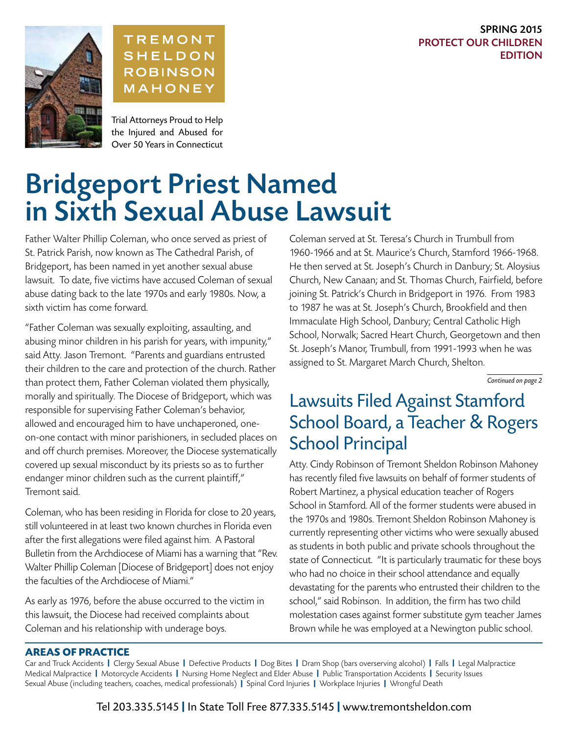#### SPRING 2015 PROTECT OUR CHILDREN EDITION





Trial Attorneys Proud to Help the Injured and Abused for Over 50 Years in Connecticut

# Bridgeport Priest Named in Sixth Sexual Abuse Lawsuit

Father Walter Phillip Coleman, who once served as priest of St. Patrick Parish, now known as The Cathedral Parish, of Bridgeport, has been named in yet another sexual abuse lawsuit. To date, five victims have accused Coleman of sexual abuse dating back to the late 1970s and early 1980s. Now, a sixth victim has come forward.

"Father Coleman was sexually exploiting, assaulting, and abusing minor children in his parish for years, with impunity," said Atty. Jason Tremont. "Parents and guardians entrusted their children to the care and protection of the church. Rather than protect them, Father Coleman violated them physically, morally and spiritually. The Diocese of Bridgeport, which was responsible for supervising Father Coleman's behavior, allowed and encouraged him to have unchaperoned, oneon-one contact with minor parishioners, in secluded places on and off church premises. Moreover, the Diocese systematically covered up sexual misconduct by its priests so as to further endanger minor children such as the current plaintiff," Tremont said.

Coleman, who has been residing in Florida for close to 20 years, still volunteered in at least two known churches in Florida even after the first allegations were filed against him. A Pastoral Bulletin from the Archdiocese of Miami has a warning that "Rev. Walter Phillip Coleman [Diocese of Bridgeport] does not enjoy the faculties of the Archdiocese of Miami."

As early as 1976, before the abuse occurred to the victim in this lawsuit, the Diocese had received complaints about Coleman and his relationship with underage boys.

Coleman served at St. Teresa's Church in Trumbull from 1960-1966 and at St. Maurice's Church, Stamford 1966-1968. He then served at St. Joseph's Church in Danbury; St. Aloysius Church, New Canaan; and St. Thomas Church, Fairfield, before joining St. Patrick's Church in Bridgeport in 1976. From 1983 to 1987 he was at St. Joseph's Church, Brookfield and then Immaculate High School, Danbury; Central Catholic High School, Norwalk; Sacred Heart Church, Georgetown and then St. Joseph's Manor, Trumbull, from 1991-1993 when he was assigned to St. Margaret March Church, Shelton.

*Continued on page 2*

### Lawsuits Filed Against Stamford School Board, a Teacher & Rogers School Principal

Atty. Cindy Robinson of Tremont Sheldon Robinson Mahoney has recently filed five lawsuits on behalf of former students of Robert Martinez, a physical education teacher of Rogers School in Stamford. All of the former students were abused in the 1970s and 1980s. Tremont Sheldon Robinson Mahoney is currently representing other victims who were sexually abused as students in both public and private schools throughout the state of Connecticut. "It is particularly traumatic for these boys who had no choice in their school attendance and equally devastating for the parents who entrusted their children to the school," said Robinson. In addition, the firm has two child molestation cases against former substitute gym teacher James Brown while he was employed at a Newington public school.

#### **AREAS OF PRACTICE**

Car and Truck Accidents | Clergy Sexual Abuse | Defective Products | Dog Bites | Dram Shop (bars overserving alcohol) | Falls | Legal Malpractice Medical Malpractice | Motorcycle Accidents | Nursing Home Neglect and Elder Abuse | Public Transportation Accidents | Security Issues Sexual Abuse (including teachers, coaches, medical professionals) | Spinal Cord Injuries | Workplace Injuries | Wrongful Death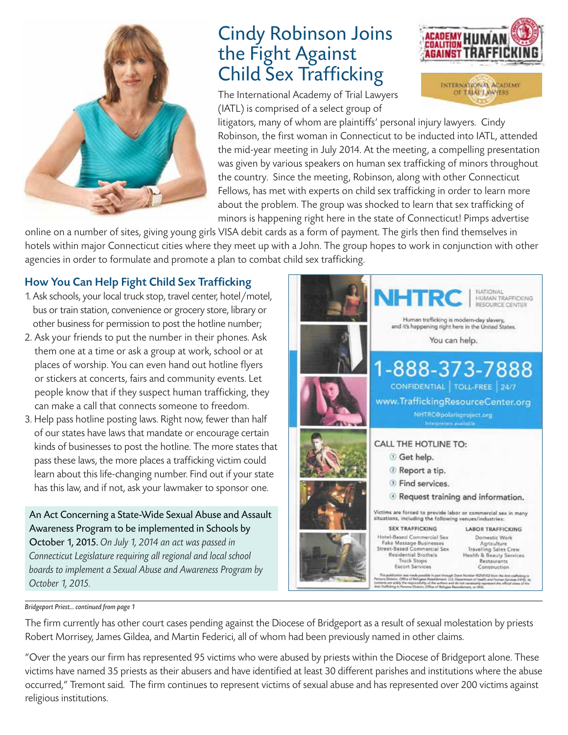

### Cindy Robinson Joins the Fight Against Child Sex Trafficking

The International Academy of Trial Lawyers (IATL) is comprised of a select group of



litigators, many of whom are plaintiffs' personal injury lawyers. Cindy Robinson, the first woman in Connecticut to be inducted into IATL, attended the mid-year meeting in July 2014. At the meeting, a compelling presentation was given by various speakers on human sex trafficking of minors throughout the country. Since the meeting, Robinson, along with other Connecticut Fellows, has met with experts on child sex trafficking in order to learn more about the problem. The group was shocked to learn that sex trafficking of minors is happening right here in the state of Connecticut! Pimps advertise

online on a number of sites, giving young girls VISA debit cards as a form of payment. The girls then find themselves in hotels within major Connecticut cities where they meet up with a John. The group hopes to work in conjunction with other agencies in order to formulate and promote a plan to combat child sex trafficking.

#### How You Can Help Fight Child Sex Trafficking

- 1. Ask schools, your local truck stop, travel center, hotel/motel, bus or train station, convenience or grocery store, library or other business for permission to post the hotline number;
- 2. Ask your friends to put the number in their phones. Ask them one at a time or ask a group at work, school or at places of worship. You can even hand out hotline flyers or stickers at concerts, fairs and community events. Let people know that if they suspect human trafficking, they can make a call that connects someone to freedom.
- 3. Help pass hotline posting laws. Right now, fewer than half of our states have laws that mandate or encourage certain kinds of businesses to post the hotline. The more states that pass these laws, the more places a trafficking victim could learn about this life-changing number. Find out if your state has this law, and if not, ask your lawmaker to sponsor one.

An Act Concerning a State-Wide Sexual Abuse and Assault Awareness Program to be implemented in Schools by October 1, 2015. *On July 1, 2014 an act was passed in Connecticut Legislature requiring all regional and local school boards to implement a Sexual Abuse and Awareness Program by October 1, 2015.*



#### *Bridgeport Priest... continued from page 1*

The firm currently has other court cases pending against the Diocese of Bridgeport as a result of sexual molestation by priests Robert Morrisey, James Gildea, and Martin Federici, all of whom had been previously named in other claims.

"Over the years our firm has represented 95 victims who were abused by priests within the Diocese of Bridgeport alone. These victims have named 35 priests as their abusers and have identified at least 30 different parishes and institutions where the abuse occurred," Tremont said. The firm continues to represent victims of sexual abuse and has represented over 200 victims against religious institutions.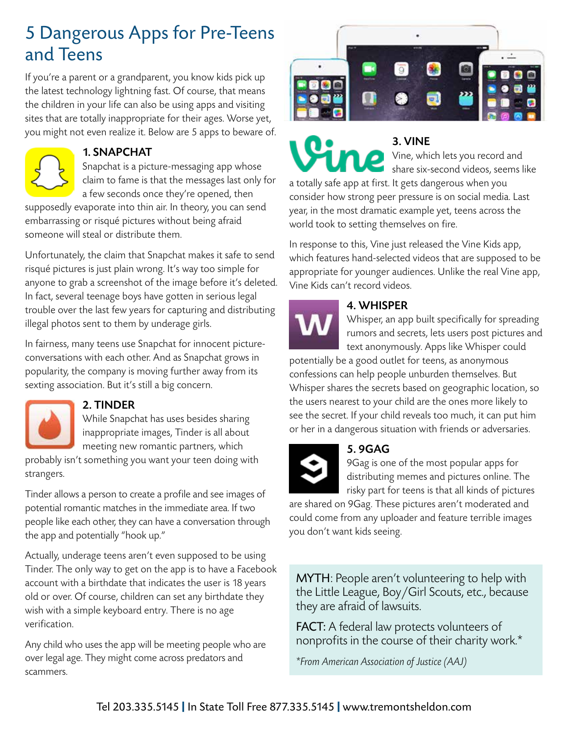### 5 Dangerous Apps for Pre-Teens and Teens

If you're a parent or a grandparent, you know kids pick up the latest technology lightning fast. Of course, that means the children in your life can also be using apps and visiting sites that are totally inappropriate for their ages. Worse yet, you might not even realize it. Below are 5 apps to beware of.



#### 1. SNAPCHAT

Snapchat is a picture-messaging app whose claim to fame is that the messages last only for a few seconds once they're opened, then

supposedly evaporate into thin air. In theory, you can send embarrassing or risqué pictures without being afraid someone will steal or distribute them.

Unfortunately, the claim that Snapchat makes it safe to send risqué pictures is just plain wrong. It's way too simple for anyone to grab a screenshot of the image before it's deleted. In fact, several teenage boys have gotten in serious legal trouble over the last few years for capturing and distributing illegal photos sent to them by underage girls.

In fairness, many teens use Snapchat for innocent pictureconversations with each other. And as Snapchat grows in popularity, the company is moving further away from its sexting association. But it's still a big concern.



#### 2. TINDER

While Snapchat has uses besides sharing inappropriate images, Tinder is all about meeting new romantic partners, which

probably isn't something you want your teen doing with strangers.

Tinder allows a person to create a profile and see images of potential romantic matches in the immediate area. If two people like each other, they can have a conversation through the app and potentially "hook up."

Actually, underage teens aren't even supposed to be using Tinder. The only way to get on the app is to have a Facebook account with a birthdate that indicates the user is 18 years old or over. Of course, children can set any birthdate they wish with a simple keyboard entry. There is no age verification.

Any child who uses the app will be meeting people who are over legal age. They might come across predators and scammers.



3. VINE Vine, which lets you record and share six-second videos, seems like

a totally safe app at first. It gets dangerous when you consider how strong peer pressure is on social media. Last year, in the most dramatic example yet, teens across the world took to setting themselves on fire.

In response to this, Vine just released the Vine Kids app, which features hand-selected videos that are supposed to be appropriate for younger audiences. Unlike the real Vine app, Vine Kids can't record videos.

### 4. WHISPER

Whisper, an app built specifically for spreading rumors and secrets, lets users post pictures and text anonymously. Apps like Whisper could

potentially be a good outlet for teens, as anonymous confessions can help people unburden themselves. But Whisper shares the secrets based on geographic location, so the users nearest to your child are the ones more likely to see the secret. If your child reveals too much, it can put him or her in a dangerous situation with friends or adversaries.



#### 5. 9GAG

9Gag is one of the most popular apps for distributing memes and pictures online. The risky part for teens is that all kinds of pictures

are shared on 9Gag. These pictures aren't moderated and could come from any uploader and feature terrible images you don't want kids seeing.

MYTH: People aren't volunteering to help with the Little League, Boy/Girl Scouts, etc., because they are afraid of lawsuits.

FACT: A federal law protects volunteers of nonprofits in the course of their charity work.\*

*\*From American Association of Justice (AAJ)*